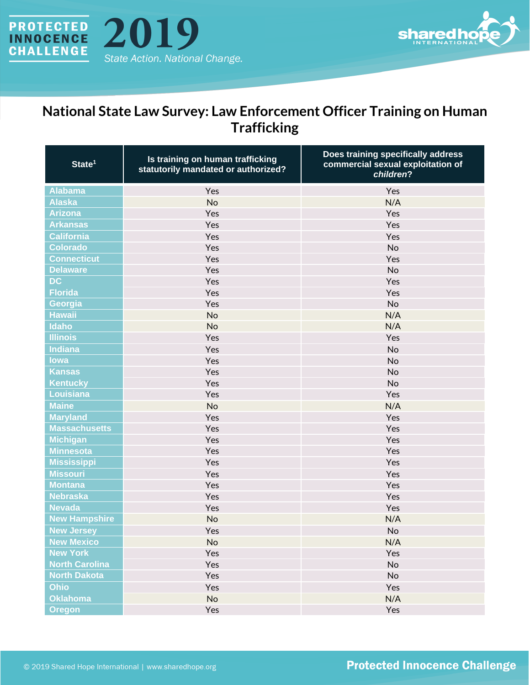



## **National State Law Survey: Law Enforcement Officer Training on Human Trafficking**

| State <sup>1</sup>    | Is training on human trafficking<br>statutorily mandated or authorized? | Does training specifically address<br>commercial sexual exploitation of<br>children? |
|-----------------------|-------------------------------------------------------------------------|--------------------------------------------------------------------------------------|
| <b>Alabama</b>        | Yes                                                                     | Yes                                                                                  |
| <b>Alaska</b>         | <b>No</b>                                                               | N/A                                                                                  |
| <b>Arizona</b>        | Yes                                                                     | Yes                                                                                  |
| <b>Arkansas</b>       | Yes                                                                     | Yes                                                                                  |
| <b>California</b>     | Yes                                                                     | Yes                                                                                  |
| <b>Colorado</b>       | Yes                                                                     | <b>No</b>                                                                            |
| <b>Connecticut</b>    | Yes                                                                     | Yes                                                                                  |
| <b>Delaware</b>       | Yes                                                                     | No                                                                                   |
| <b>DC</b>             | Yes                                                                     | Yes                                                                                  |
| <b>Florida</b>        | Yes                                                                     | Yes                                                                                  |
| Georgia               | Yes                                                                     | No                                                                                   |
| <b>Hawaii</b>         | <b>No</b>                                                               | N/A                                                                                  |
| Idaho                 | <b>No</b>                                                               | N/A                                                                                  |
| <b>Illinois</b>       | Yes                                                                     | Yes                                                                                  |
| <b>Indiana</b>        | Yes                                                                     | No                                                                                   |
| lowa                  | Yes                                                                     | No                                                                                   |
| <b>Kansas</b>         | Yes                                                                     | No                                                                                   |
| <b>Kentucky</b>       | Yes                                                                     | No                                                                                   |
| <b>Louisiana</b>      | Yes                                                                     | Yes                                                                                  |
| <b>Maine</b>          | <b>No</b>                                                               | N/A                                                                                  |
| <b>Maryland</b>       | Yes                                                                     | Yes                                                                                  |
| <b>Massachusetts</b>  | Yes                                                                     | Yes                                                                                  |
| <b>Michigan</b>       | Yes                                                                     | Yes                                                                                  |
| <b>Minnesota</b>      | Yes                                                                     | Yes                                                                                  |
| <b>Mississippi</b>    | Yes                                                                     | Yes                                                                                  |
| <b>Missouri</b>       | Yes                                                                     | Yes                                                                                  |
| <b>Montana</b>        | Yes                                                                     | Yes                                                                                  |
| <b>Nebraska</b>       | Yes                                                                     | Yes                                                                                  |
| <b>Nevada</b>         | Yes                                                                     | Yes                                                                                  |
| <b>New Hampshire</b>  | <b>No</b>                                                               | N/A                                                                                  |
| <b>New Jersey</b>     | Yes                                                                     | No                                                                                   |
| <b>New Mexico</b>     | <b>No</b>                                                               | N/A                                                                                  |
| <b>New York</b>       | Yes                                                                     | Yes                                                                                  |
| <b>North Carolina</b> | Yes                                                                     | No                                                                                   |
| <b>North Dakota</b>   | Yes                                                                     | No                                                                                   |
| <b>Ohio</b>           | Yes                                                                     | Yes                                                                                  |
| <b>Oklahoma</b>       | No                                                                      | N/A                                                                                  |
| <b>Oregon</b>         | Yes                                                                     | Yes                                                                                  |